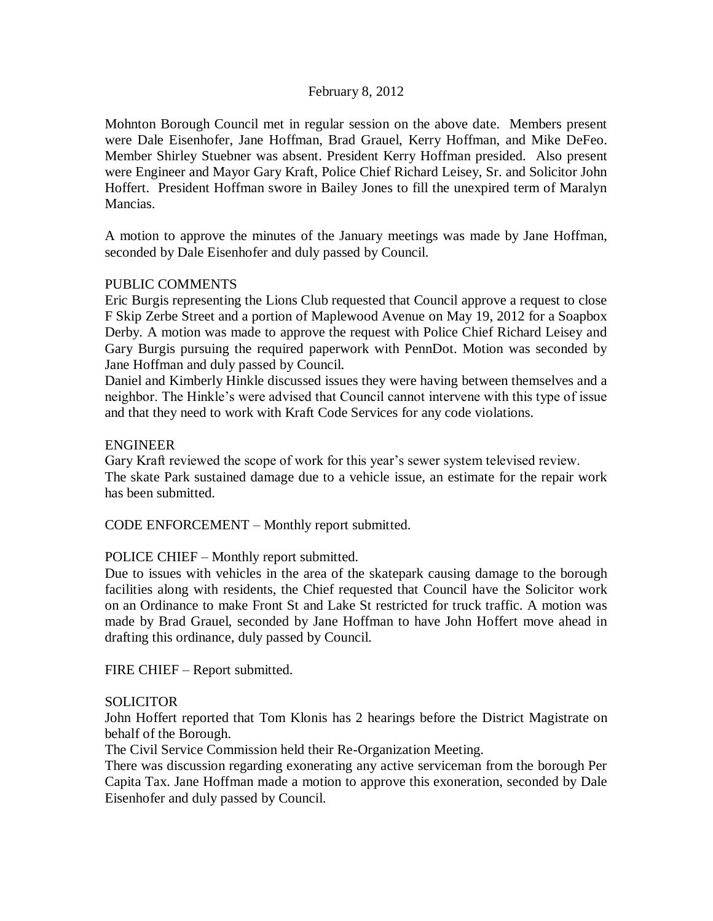## February 8, 2012

Mohnton Borough Council met in regular session on the above date. Members present were Dale Eisenhofer, Jane Hoffman, Brad Grauel, Kerry Hoffman, and Mike DeFeo. Member Shirley Stuebner was absent. President Kerry Hoffman presided. Also present were Engineer and Mayor Gary Kraft, Police Chief Richard Leisey, Sr. and Solicitor John Hoffert. President Hoffman swore in Bailey Jones to fill the unexpired term of Maralyn Mancias.

A motion to approve the minutes of the January meetings was made by Jane Hoffman, seconded by Dale Eisenhofer and duly passed by Council.

# PUBLIC COMMENTS

Eric Burgis representing the Lions Club requested that Council approve a request to close F Skip Zerbe Street and a portion of Maplewood Avenue on May 19, 2012 for a Soapbox Derby. A motion was made to approve the request with Police Chief Richard Leisey and Gary Burgis pursuing the required paperwork with PennDot. Motion was seconded by Jane Hoffman and duly passed by Council.

Daniel and Kimberly Hinkle discussed issues they were having between themselves and a neighbor. The Hinkle's were advised that Council cannot intervene with this type of issue and that they need to work with Kraft Code Services for any code violations.

### ENGINEER

Gary Kraft reviewed the scope of work for this year's sewer system televised review. The skate Park sustained damage due to a vehicle issue, an estimate for the repair work has been submitted.

CODE ENFORCEMENT – Monthly report submitted.

### POLICE CHIEF – Monthly report submitted.

Due to issues with vehicles in the area of the skatepark causing damage to the borough facilities along with residents, the Chief requested that Council have the Solicitor work on an Ordinance to make Front St and Lake St restricted for truck traffic. A motion was made by Brad Grauel, seconded by Jane Hoffman to have John Hoffert move ahead in drafting this ordinance, duly passed by Council.

FIRE CHIEF – Report submitted.

### **SOLICITOR**

John Hoffert reported that Tom Klonis has 2 hearings before the District Magistrate on behalf of the Borough.

The Civil Service Commission held their Re-Organization Meeting.

There was discussion regarding exonerating any active serviceman from the borough Per Capita Tax. Jane Hoffman made a motion to approve this exoneration, seconded by Dale Eisenhofer and duly passed by Council.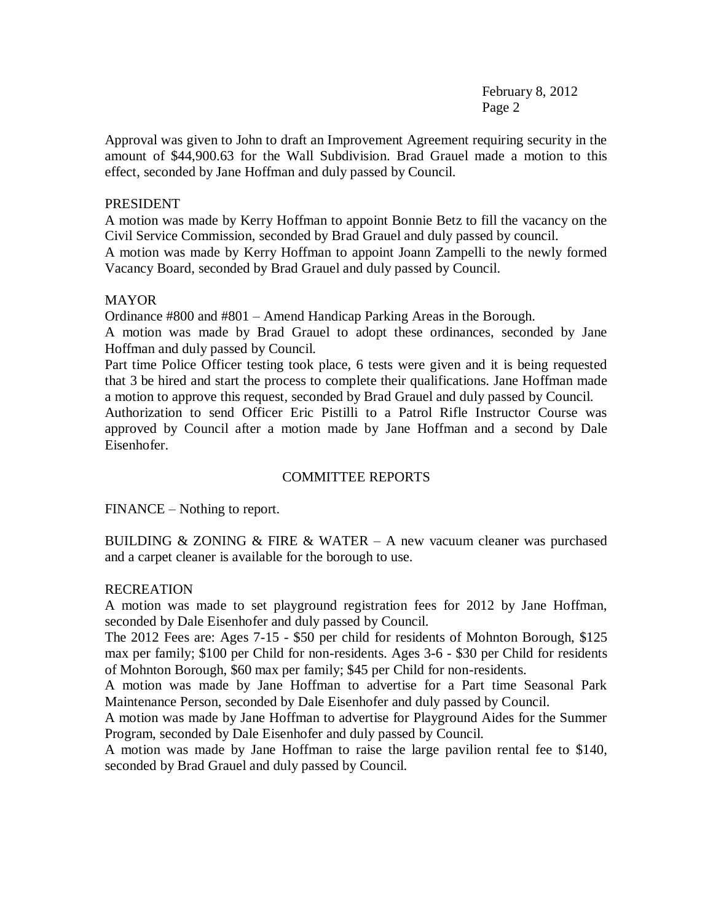February 8, 2012 Page 2

Approval was given to John to draft an Improvement Agreement requiring security in the amount of \$44,900.63 for the Wall Subdivision. Brad Grauel made a motion to this effect, seconded by Jane Hoffman and duly passed by Council.

## PRESIDENT

A motion was made by Kerry Hoffman to appoint Bonnie Betz to fill the vacancy on the Civil Service Commission, seconded by Brad Grauel and duly passed by council.

A motion was made by Kerry Hoffman to appoint Joann Zampelli to the newly formed Vacancy Board, seconded by Brad Grauel and duly passed by Council.

# MAYOR

Ordinance #800 and #801 – Amend Handicap Parking Areas in the Borough.

A motion was made by Brad Grauel to adopt these ordinances, seconded by Jane Hoffman and duly passed by Council.

Part time Police Officer testing took place, 6 tests were given and it is being requested that 3 be hired and start the process to complete their qualifications. Jane Hoffman made a motion to approve this request, seconded by Brad Grauel and duly passed by Council.

Authorization to send Officer Eric Pistilli to a Patrol Rifle Instructor Course was approved by Council after a motion made by Jane Hoffman and a second by Dale Eisenhofer.

# COMMITTEE REPORTS

FINANCE – Nothing to report.

BUILDING & ZONING & FIRE & WATER  $-$  A new vacuum cleaner was purchased and a carpet cleaner is available for the borough to use.

# RECREATION

A motion was made to set playground registration fees for 2012 by Jane Hoffman, seconded by Dale Eisenhofer and duly passed by Council.

The 2012 Fees are: Ages 7-15 - \$50 per child for residents of Mohnton Borough, \$125 max per family; \$100 per Child for non-residents. Ages 3-6 - \$30 per Child for residents of Mohnton Borough, \$60 max per family; \$45 per Child for non-residents.

A motion was made by Jane Hoffman to advertise for a Part time Seasonal Park Maintenance Person, seconded by Dale Eisenhofer and duly passed by Council.

A motion was made by Jane Hoffman to advertise for Playground Aides for the Summer Program, seconded by Dale Eisenhofer and duly passed by Council.

A motion was made by Jane Hoffman to raise the large pavilion rental fee to \$140, seconded by Brad Grauel and duly passed by Council.